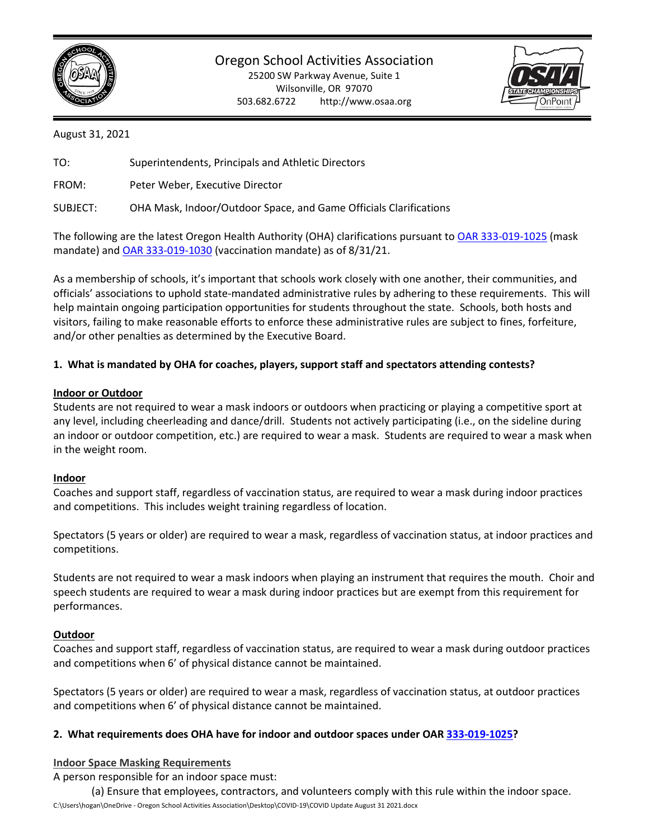

Oregon School Activities Association

25200 SW Parkway Avenue, Suite 1 Wilsonville, OR 97070 503.682.6722 http://www.osaa.org



August 31, 2021

TO: Superintendents, Principals and Athletic Directors

FROM: Peter Weber, Executive Director

SUBJECT: OHA Mask, Indoor/Outdoor Space, and Game Officials Clarifications

The following are the latest Oregon Health Authority (OHA) clarifications pursuant t[o OAR 333-019-1025](https://secure.sos.state.or.us/oard/viewSingleRule.action?ruleVrsnRsn=280420) (mask mandate) an[d OAR 333-019-1030](https://secure.sos.state.or.us/oard/viewSingleRule.action?ruleVrsnRsn=280616) (vaccination mandate) as of 8/31/21.

As a membership of schools, it's important that schools work closely with one another, their communities, and officials' associations to uphold state-mandated administrative rules by adhering to these requirements. This will help maintain ongoing participation opportunities for students throughout the state. Schools, both hosts and visitors, failing to make reasonable efforts to enforce these administrative rules are subject to fines, forfeiture, and/or other penalties as determined by the Executive Board.

# **1. What is mandated by OHA for coaches, players, support staff and spectators attending contests?**

### **Indoor or Outdoor**

Students are not required to wear a mask indoors or outdoors when practicing or playing a competitive sport at any level, including cheerleading and dance/drill. Students not actively participating (i.e., on the sideline during an indoor or outdoor competition, etc.) are required to wear a mask. Students are required to wear a mask when in the weight room.

#### **Indoor**

Coaches and support staff, regardless of vaccination status, are required to wear a mask during indoor practices and competitions. This includes weight training regardless of location.

Spectators (5 years or older) are required to wear a mask, regardless of vaccination status, at indoor practices and competitions.

Students are not required to wear a mask indoors when playing an instrument that requires the mouth. Choir and speech students are required to wear a mask during indoor practices but are exempt from this requirement for performances.

# **Outdoor**

Coaches and support staff, regardless of vaccination status, are required to wear a mask during outdoor practices and competitions when 6' of physical distance cannot be maintained.

Spectators (5 years or older) are required to wear a mask, regardless of vaccination status, at outdoor practices and competitions when 6' of physical distance cannot be maintained.

# **2. What requirements does OHA have for indoor and outdoor spaces under OA[R 333-019-1025?](https://secure.sos.state.or.us/oard/viewSingleRule.action?ruleVrsnRsn=280420)**

#### **Indoor Space Masking Requirements**

A person responsible for an indoor space must:

(a) Ensure that employees, contractors, and volunteers comply with this rule within the indoor space.